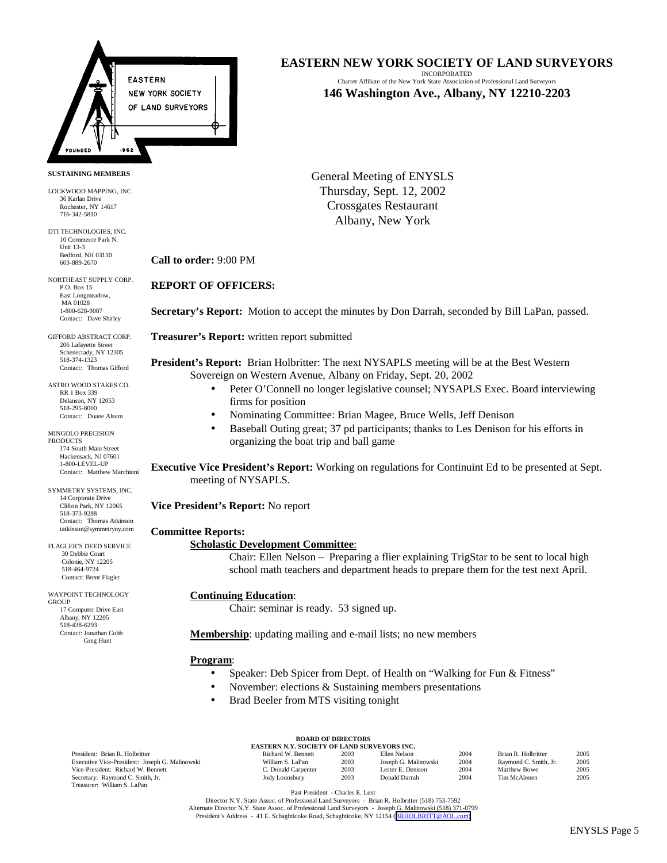

#### **SUSTAINING MEMBERS**

LOCKWOOD MAPPING, INC. 36 Karlan Drive Rochester, NY 14617 716-342-5810

DTI TECHNOLOGIES, INC. 10 Commerce Park N. Unit 13-3 Bedford, NH 03110 603-889-2670

NORTHEAST SUPPLY CORP. P.O. Box 15 East Longmeadow, MA 01028 1-800-628-9087 Contact: Dave Shirley

GIFFORD ABSTRACT CORP. 206 Lafayette Street Schenectady, NY 12305 518-374-1323 Contact: Thomas Gifford

ASTRO WOOD STAKES CO. RR 1 Box 339 Delanson, NY 12053 518-295-8000 Contact: Duane Alsum

MINGOLO PRECISION **PRODUCTS** 174 South Main Street Hackensack, NJ 07601 1-800-LEVEL-UP Contact: Matthew Marchioni

SYMMETRY SYSTEMS, INC. 14 Corporate Drive Clifton Park, NY 12065 518-373-9288 Contact: Thomas Atkinson tatkinson@symmetryny.com

FLAGLER'S DEED SERVICE 30 Debbie Court Colonie, NY 12205 518-464-9724 Contact: Brent Flagler

WAYPOINT TECHNOLOGY GROUP 17 Computer Drive East Albany, NY 12205 518-438-6293 Contact: Jonathan Cobb Greg Hunt

## **EASTERN NEW YORK SOCIETY OF LAND SURVEYORS**

INCORPORATED Charter Affiliate of the New York State Association of Professional Land Surveyors **146 Washington Ave., Albany, NY 12210-2203**

General Meeting of ENYSLS Thursday, Sept. 12, 2002 Crossgates Restaurant Albany, New York

### **Call to order:** 9:00 PM

### **REPORT OF OFFICERS:**

**Secretary's Report:** Motion to accept the minutes by Don Darrah, seconded by Bill LaPan, passed.

**Treasurer's Report:** written report submitted

**President's Report:** Brian Holbritter: The next NYSAPLS meeting will be at the Best Western Sovereign on Western Avenue, Albany on Friday, Sept. 20, 2002

- Peter O'Connell no longer legislative counsel; NYSAPLS Exec. Board interviewing firms for position
- Nominating Committee: Brian Magee, Bruce Wells, Jeff Denison
- Baseball Outing great; 37 pd participants; thanks to Les Denison for his efforts in organizing the boat trip and ball game

**Executive Vice President's Report:** Working on regulations for Continuint Ed to be presented at Sept. meeting of NYSAPLS.

**Vice President's Report:** No report

#### **Committee Reports:**

#### **Scholastic Development Committee**:

Chair: Ellen Nelson – Preparing a flier explaining TrigStar to be sent to local high school math teachers and department heads to prepare them for the test next April.

#### **Continuing Education**:

Chair: seminar is ready. 53 signed up.

**Membership**: updating mailing and e-mail lists; no new members

#### **Program**:

- Speaker: Deb Spicer from Dept. of Health on "Walking for Fun & Fitness"
- November: elections & Sustaining members presentations
- Brad Beeler from MTS visiting tonight

| President: Brian R. Holbritter                 |
|------------------------------------------------|
| Executive Vice-President: Joseph G. Malinowski |
| Vice-President: Richard W. Bennett             |
| Secretary: Raymond C. Smith, Jr.               |
| Treasurer: William S. LaPan                    |

| <b>BOARD OF DIRECTORS</b>                   |  |  |  |  |  |  |  |  |
|---------------------------------------------|--|--|--|--|--|--|--|--|
| EASTERN N.Y. SOCIETY OF LAND SURVEYORS INC. |  |  |  |  |  |  |  |  |

| President: Brian R. Holbritter                 | Richard W. Bennett | 2003 | Ellen Nelson         | $200-$ | Brian R. Holbritter   | 2005 |
|------------------------------------------------|--------------------|------|----------------------|--------|-----------------------|------|
| Executive Vice-President: Joseph G. Malinowski | William S. LaPan-  | 2003 | Joseph G. Malinowski | $200-$ | Raymond C. Smith, Jr. | 2005 |
| Vice-President: Richard W. Bennett             | . Donald Carpenter | 2003 | Lester E. Denison    | $200-$ | Matthew Bowe          | 2005 |
| Secretary: Raymond C. Smith, Jr.               | Jody Lounsbury     | 2003 | Donald Darrah        | $200-$ | Tim McAlonen          | 2005 |
|                                                |                    |      |                      |        |                       |      |

Past President - Charles E. Lent

Director N.Y. State Assoc. of Professional Land Surveyors - Brian R. Holbritter (518) 753-7592 Alternate Director N.Y. State Assoc. of Professional Land Surveyors - Joseph G. Malinowski (518) 371-0799 President's Address - 41 E. Schaghticoke Road, Schaghticoke, NY 12154 ([BRHOLBRITT@AOL.com\)](mailto:BRHOLBRITT@AOL.com)